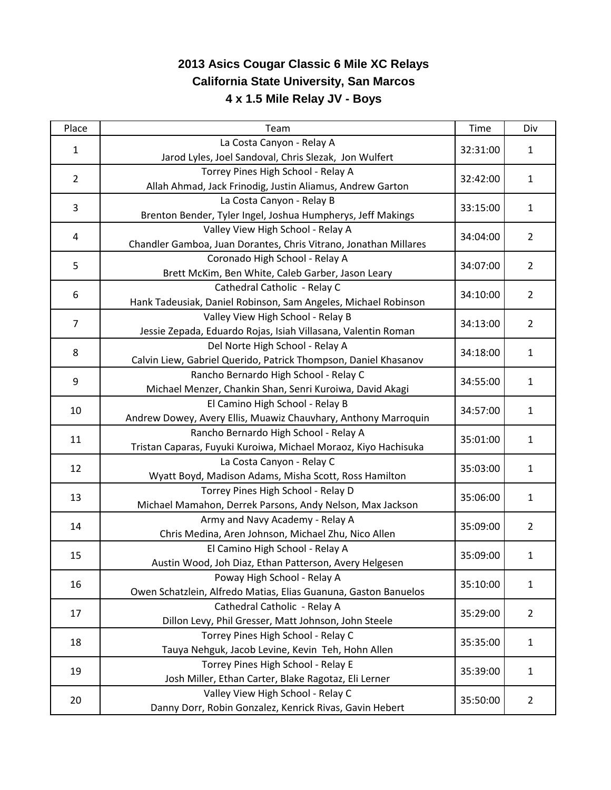## **2013 Asics Cougar Classic 6 Mile XC Relays California State University, San Marcos 4 x 1.5 Mile Relay JV - Boys**

| Place          | Team                                                             | Time     | Div            |
|----------------|------------------------------------------------------------------|----------|----------------|
| $\mathbf{1}$   | La Costa Canyon - Relay A                                        | 32:31:00 | $\mathbf{1}$   |
|                | Jarod Lyles, Joel Sandoval, Chris Slezak, Jon Wulfert            |          |                |
| $\overline{2}$ | Torrey Pines High School - Relay A                               | 32:42:00 | $\mathbf{1}$   |
|                | Allah Ahmad, Jack Frinodig, Justin Aliamus, Andrew Garton        |          |                |
| 3              | La Costa Canyon - Relay B                                        | 33:15:00 | $\mathbf{1}$   |
|                | Brenton Bender, Tyler Ingel, Joshua Humpherys, Jeff Makings      |          |                |
| 4              | Valley View High School - Relay A                                | 34:04:00 | $\overline{2}$ |
|                | Chandler Gamboa, Juan Dorantes, Chris Vitrano, Jonathan Millares |          |                |
| 5              | Coronado High School - Relay A                                   | 34:07:00 | $\overline{2}$ |
|                | Brett McKim, Ben White, Caleb Garber, Jason Leary                |          |                |
| 6              | Cathedral Catholic - Relay C                                     | 34:10:00 | $\overline{2}$ |
|                | Hank Tadeusiak, Daniel Robinson, Sam Angeles, Michael Robinson   |          |                |
| $\overline{7}$ | Valley View High School - Relay B                                | 34:13:00 | $\overline{2}$ |
|                | Jessie Zepada, Eduardo Rojas, Isiah Villasana, Valentin Roman    |          |                |
| 8              | Del Norte High School - Relay A                                  | 34:18:00 | $\mathbf{1}$   |
|                | Calvin Liew, Gabriel Querido, Patrick Thompson, Daniel Khasanov  |          |                |
| 9              | Rancho Bernardo High School - Relay C                            | 34:55:00 | $\mathbf{1}$   |
|                | Michael Menzer, Chankin Shan, Senri Kuroiwa, David Akagi         |          |                |
| 10             | El Camino High School - Relay B                                  | 34:57:00 | $\mathbf{1}$   |
|                | Andrew Dowey, Avery Ellis, Muawiz Chauvhary, Anthony Marroquin   |          |                |
| 11             | Rancho Bernardo High School - Relay A                            | 35:01:00 | $\mathbf{1}$   |
|                | Tristan Caparas, Fuyuki Kuroiwa, Michael Moraoz, Kiyo Hachisuka  |          |                |
| 12             | La Costa Canyon - Relay C                                        | 35:03:00 | $\mathbf{1}$   |
|                | Wyatt Boyd, Madison Adams, Misha Scott, Ross Hamilton            |          |                |
| 13             | Torrey Pines High School - Relay D                               | 35:06:00 | 1              |
|                | Michael Mamahon, Derrek Parsons, Andy Nelson, Max Jackson        |          |                |
| 14             | Army and Navy Academy - Relay A                                  | 35:09:00 | $\overline{2}$ |
|                | Chris Medina, Aren Johnson, Michael Zhu, Nico Allen              |          |                |
| 15             | El Camino High School - Relay A                                  | 35:09:00 | 1              |
|                | Austin Wood, Joh Diaz, Ethan Patterson, Avery Helgesen           |          |                |
| 16             | Poway High School - Relay A                                      | 35:10:00 | $\mathbf{1}$   |
|                | Owen Schatzlein, Alfredo Matias, Elias Guanuna, Gaston Banuelos  |          |                |
| 17             | Cathedral Catholic - Relay A                                     | 35:29:00 | $\overline{2}$ |
|                | Dillon Levy, Phil Gresser, Matt Johnson, John Steele             |          |                |
| 18             | Torrey Pines High School - Relay C                               | 35:35:00 | $\mathbf{1}$   |
|                | Tauya Nehguk, Jacob Levine, Kevin Teh, Hohn Allen                |          |                |
| 19             | Torrey Pines High School - Relay E                               | 35:39:00 | $\mathbf{1}$   |
|                | Josh Miller, Ethan Carter, Blake Ragotaz, Eli Lerner             |          |                |
| 20             | Valley View High School - Relay C                                | 35:50:00 | $\overline{2}$ |
|                | Danny Dorr, Robin Gonzalez, Kenrick Rivas, Gavin Hebert          |          |                |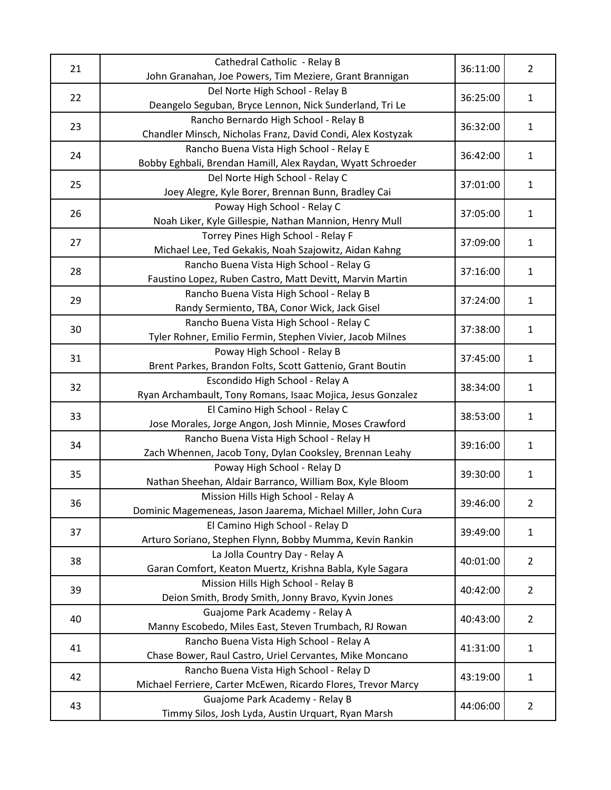| 21 | Cathedral Catholic - Relay B                                  |          |                |
|----|---------------------------------------------------------------|----------|----------------|
|    | John Granahan, Joe Powers, Tim Meziere, Grant Brannigan       | 36:11:00 | $\overline{2}$ |
| 22 | Del Norte High School - Relay B                               | 36:25:00 |                |
|    | Deangelo Seguban, Bryce Lennon, Nick Sunderland, Tri Le       |          | 1              |
|    | Rancho Bernardo High School - Relay B                         |          |                |
| 23 | Chandler Minsch, Nicholas Franz, David Condi, Alex Kostyzak   | 36:32:00 | $\mathbf{1}$   |
|    | Rancho Buena Vista High School - Relay E                      |          |                |
| 24 | Bobby Eghbali, Brendan Hamill, Alex Raydan, Wyatt Schroeder   | 36:42:00 | $\mathbf{1}$   |
|    | Del Norte High School - Relay C                               |          |                |
| 25 | Joey Alegre, Kyle Borer, Brennan Bunn, Bradley Cai            | 37:01:00 | $\mathbf{1}$   |
|    | Poway High School - Relay C                                   |          |                |
| 26 | Noah Liker, Kyle Gillespie, Nathan Mannion, Henry Mull        | 37:05:00 | $\mathbf{1}$   |
|    | Torrey Pines High School - Relay F                            |          |                |
| 27 | Michael Lee, Ted Gekakis, Noah Szajowitz, Aidan Kahng         | 37:09:00 | $\mathbf{1}$   |
|    | Rancho Buena Vista High School - Relay G                      |          |                |
| 28 | Faustino Lopez, Ruben Castro, Matt Devitt, Marvin Martin      | 37:16:00 | $\mathbf{1}$   |
|    | Rancho Buena Vista High School - Relay B                      |          |                |
| 29 | Randy Sermiento, TBA, Conor Wick, Jack Gisel                  | 37:24:00 | 1              |
|    | Rancho Buena Vista High School - Relay C                      |          |                |
| 30 | Tyler Rohner, Emilio Fermin, Stephen Vivier, Jacob Milnes     | 37:38:00 | $\mathbf{1}$   |
|    | Poway High School - Relay B                                   |          |                |
| 31 | Brent Parkes, Brandon Folts, Scott Gattenio, Grant Boutin     | 37:45:00 | $\mathbf{1}$   |
|    | Escondido High School - Relay A                               |          |                |
| 32 | Ryan Archambault, Tony Romans, Isaac Mojica, Jesus Gonzalez   | 38:34:00 | $\mathbf{1}$   |
|    | El Camino High School - Relay C                               |          |                |
| 33 |                                                               | 38:53:00 | $\mathbf{1}$   |
|    | Jose Morales, Jorge Angon, Josh Minnie, Moses Crawford        |          |                |
| 34 | Rancho Buena Vista High School - Relay H                      | 39:16:00 | $\mathbf{1}$   |
|    | Zach Whennen, Jacob Tony, Dylan Cooksley, Brennan Leahy       |          |                |
| 35 | Poway High School - Relay D                                   | 39:30:00 | $\mathbf{1}$   |
|    | Nathan Sheehan, Aldair Barranco, William Box, Kyle Bloom      |          |                |
| 36 | Mission Hills High School - Relay A                           | 39:46:00 | $\overline{2}$ |
|    | Dominic Magemeneas, Jason Jaarema, Michael Miller, John Cura  |          |                |
| 37 | El Camino High School - Relay D                               | 39:49:00 | $\mathbf{1}$   |
|    | Arturo Soriano, Stephen Flynn, Bobby Mumma, Kevin Rankin      |          |                |
| 38 | La Jolla Country Day - Relay A                                | 40:01:00 | $\overline{2}$ |
|    | Garan Comfort, Keaton Muertz, Krishna Babla, Kyle Sagara      |          |                |
| 39 | Mission Hills High School - Relay B                           | 40:42:00 | $\overline{2}$ |
|    | Deion Smith, Brody Smith, Jonny Bravo, Kyvin Jones            |          |                |
| 40 | Guajome Park Academy - Relay A                                | 40:43:00 | $\overline{2}$ |
|    | Manny Escobedo, Miles East, Steven Trumbach, RJ Rowan         |          |                |
| 41 | Rancho Buena Vista High School - Relay A                      | 41:31:00 | 1              |
|    | Chase Bower, Raul Castro, Uriel Cervantes, Mike Moncano       |          |                |
| 42 | Rancho Buena Vista High School - Relay D                      | 43:19:00 | 1              |
|    | Michael Ferriere, Carter McEwen, Ricardo Flores, Trevor Marcy |          |                |
| 43 | Guajome Park Academy - Relay B                                | 44:06:00 | $\overline{2}$ |
|    | Timmy Silos, Josh Lyda, Austin Urquart, Ryan Marsh            |          |                |